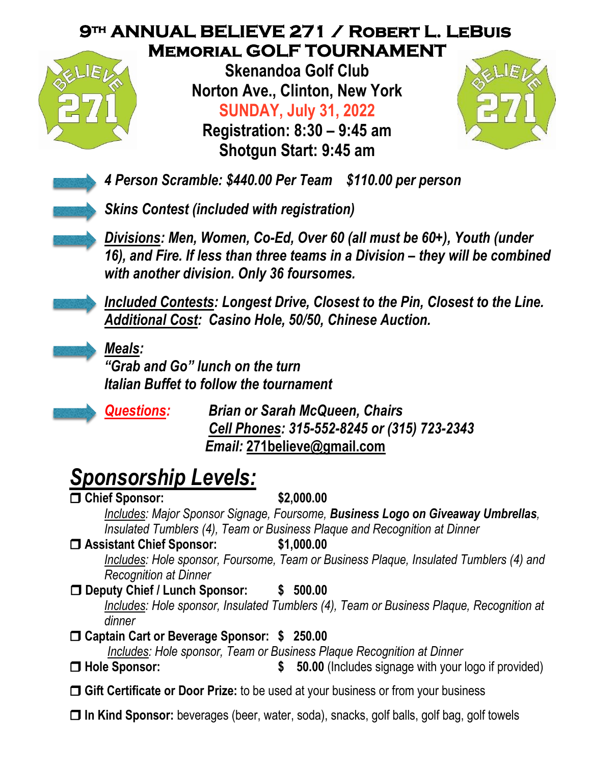## **9th ANNUAL BELIEVE 271 / Robert L. LeBuis Memorial GOLF TOURNAMENT**



**Skenandoa Golf Club Norton Ave., Clinton, New York SUNDAY, July 31, 2022**

**Registration: 8:30 – 9:45 am Shotgun Start: 9:45 am**



*4 Person Scramble: \$440.00 Per Team \$110.00 per person*

*Skins Contest (included with registration)*

*Divisions: Men, Women, Co-Ed, Over 60 (all must be 60+), Youth (under 16), and Fire. If less than three teams in a Division – they will be combined with another division. Only 36 foursomes.*

*Included Contests: Longest Drive, Closest to the Pin, Closest to the Line. Additional Cost: Casino Hole, 50/50, Chinese Auction.*

*Meals:*

*"Grab and Go" lunch on the turn Italian Buffet to follow the tournament*



*Questions: Brian or Sarah McQueen, Chairs Cell Phones: 315-552-8245 or (315) 723-2343 Email:* **[271believe@gmail.com](mailto:271believe@gmail.com)**

## *Sponsorship Levels:*

 **Chief Sponsor: \$2,000.00** *Includes: Major Sponsor Signage, Foursome, Business Logo on Giveaway Umbrellas, Insulated Tumblers (4), Team or Business Plaque and Recognition at Dinner* **Assistant Chief Sponsor: \$1,000.00** *Includes: Hole sponsor, Foursome, Team or Business Plaque, Insulated Tumblers (4) and Recognition at Dinner*  **Deputy Chief / Lunch Sponsor: \$ 500.00** *Includes: Hole sponsor, Insulated Tumblers (4), Team or Business Plaque, Recognition at dinner* **Captain Cart or Beverage Sponsor: \$ 250.00** *Includes: Hole sponsor, Team or Business Plaque Recognition at Dinner* **Hole Sponsor: \$ 50.00** (Includes signage with your logo if provided) **Gift Certificate or Door Prize:** to be used at your business or from your business **In Kind Sponsor:** beverages (beer, water, soda), snacks, golf balls, golf bag, golf towels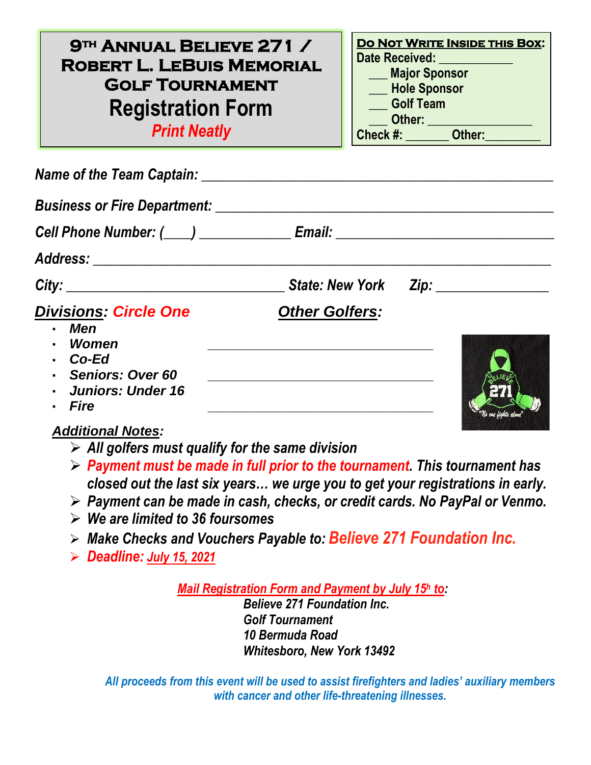**9th Annual Believe 271 / Robert L. LeBuis Memorial Golf Tournament Registration Form** *Print Neatly*

**Do Not Write Inside this Box: Date Received: \_\_\_\_\_\_\_\_\_\_\_\_ \_\_\_ Major Sponsor \_\_\_ Hole Sponsor \_\_\_ Golf Team \_\_\_ Other: \_\_\_\_\_\_\_\_\_\_\_\_\_\_\_\_\_ Check #: \_\_\_\_\_\_\_ Other:\_\_\_\_\_\_\_\_\_**

| <b>Business or Fire Department:</b>                                                                                 |                       |  |
|---------------------------------------------------------------------------------------------------------------------|-----------------------|--|
| Cell Phone Number: (____) ________________ Email: ______________________________                                    |                       |  |
|                                                                                                                     |                       |  |
| City:                                                                                                               |                       |  |
| <b>Divisions: Circle One</b><br>- Men<br>Women<br>Co-Ed<br>- Seniors: Over 60<br>- Juniors: Under 16<br><b>Fire</b> | <b>Other Golfers:</b> |  |

## *Additional Notes:*

- ➢ *All golfers must qualify for the same division*
- ➢ *Payment must be made in full prior to the tournament. This tournament has closed out the last six years… we urge you to get your registrations in early.*
- ➢ *Payment can be made in cash, checks, or credit cards. No PayPal or Venmo.*
- ➢ *We are limited to 36 foursomes*
- ➢ *Make Checks and Vouchers Payable to: Believe 271 Foundation Inc.*
- ➢ *Deadline: July 15, 2021*

*Mail Registration Form and Payment by July 15<sup>h</sup> to:*

*Believe 271 Foundation Inc. Golf Tournament 10 Bermuda Road Whitesboro, New York 13492*

*All proceeds from this event will be used to assist firefighters and ladies' auxiliary members with cancer and other life-threatening illnesses.*